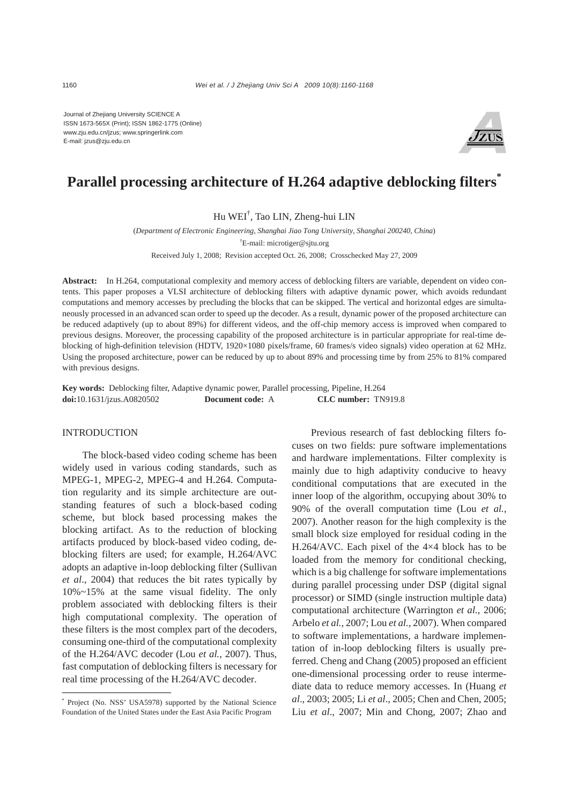Journal of Zhejiang University SCIENCE A ISSN 1673-565X (Print); ISSN 1862-1775 (Online) www.zju.edu.cn/jzus; www.springerlink.com E-mail: jzus@zju.edu.cn



# **Parallel processing architecture of H.264 adaptive deblocking filters\***

Hu WEI† , Tao LIN, Zheng-hui LIN

(*Department of Electronic Engineering, Shanghai Jiao Tong University, Shanghai 200240, China*) † E-mail: microtiger@sjtu.org

Received July 1, 2008; Revision accepted Oct. 26, 2008; Crosschecked May 27, 2009

**Abstract:** In H.264, computational complexity and memory access of deblocking filters are variable, dependent on video contents. This paper proposes a VLSI architecture of deblocking filters with adaptive dynamic power, which avoids redundant computations and memory accesses by precluding the blocks that can be skipped. The vertical and horizontal edges are simultaneously processed in an advanced scan order to speed up the decoder. As a result, dynamic power of the proposed architecture can be reduced adaptively (up to about 89%) for different videos, and the off-chip memory access is improved when compared to previous designs. Moreover, the processing capability of the proposed architecture is in particular appropriate for real-time deblocking of high-definition television (HDTV, 1920×1080 pixels/frame, 60 frames/s video signals) video operation at 62 MHz. Using the proposed architecture, power can be reduced by up to about 89% and processing time by from 25% to 81% compared with previous designs.

**Key words:** Deblocking filter, Adaptive dynamic power, Parallel processing, Pipeline, H.264 **doi:**10.1631/jzus.A0820502 **Document code:** A **CLC number:** TN919.8

# INTRODUCTION

The block-based video coding scheme has been widely used in various coding standards, such as MPEG-1, MPEG-2, MPEG-4 and H.264. Computation regularity and its simple architecture are outstanding features of such a block-based coding scheme, but block based processing makes the blocking artifact. As to the reduction of blocking artifacts produced by block-based video coding, deblocking filters are used; for example, H.264/AVC adopts an adaptive in-loop deblocking filter (Sullivan *et al*., 2004) that reduces the bit rates typically by 10%~15% at the same visual fidelity. The only problem associated with deblocking filters is their high computational complexity. The operation of these filters is the most complex part of the decoders, consuming one-third of the computational complexity of the H.264/AVC decoder (Lou *et al.*, 2007). Thus, fast computation of deblocking filters is necessary for real time processing of the H.264/AVC decoder.

Previous research of fast deblocking filters focuses on two fields: pure software implementations and hardware implementations. Filter complexity is mainly due to high adaptivity conducive to heavy conditional computations that are executed in the inner loop of the algorithm, occupying about 30% to 90% of the overall computation time (Lou *et al.*, 2007). Another reason for the high complexity is the small block size employed for residual coding in the H.264/AVC. Each pixel of the 4×4 block has to be loaded from the memory for conditional checking, which is a big challenge for software implementations during parallel processing under DSP (digital signal processor) or SIMD (single instruction multiple data) computational architecture (Warrington *et al.*, 2006; Arbelo *et al.*, 2007; Lou *et al.*, 2007). When compared to software implementations, a hardware implementation of in-loop deblocking filters is usually preferred. Cheng and Chang (2005) proposed an efficient one-dimensional processing order to reuse intermediate data to reduce memory accesses. In (Huang *et al*., 2003; 2005; Li *et al*., 2005; Chen and Chen, 2005; Liu *et al*., 2007; Min and Chong, 2007; Zhao and

<sup>\*</sup> Project (No. NSS' USA5978) supported by the National Science Foundation of the United States under the East Asia Pacific Program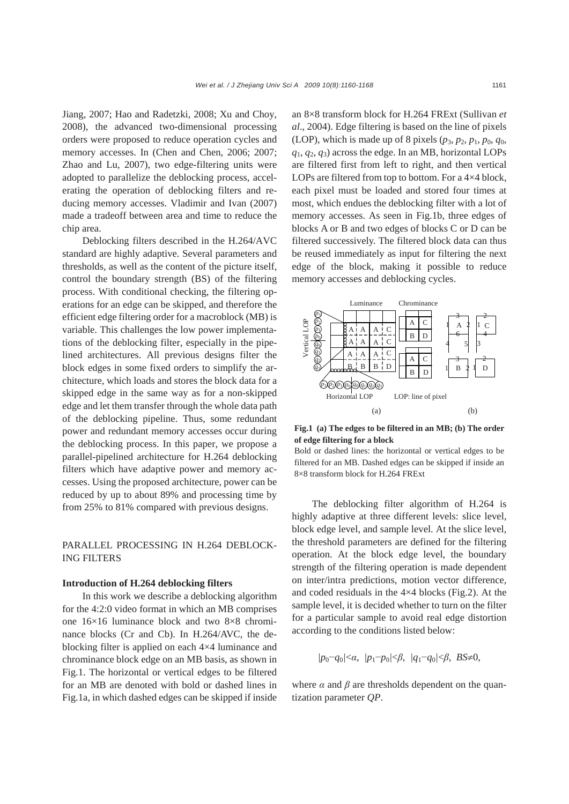Jiang, 2007; Hao and Radetzki, 2008; Xu and Choy, 2008), the advanced two-dimensional processing orders were proposed to reduce operation cycles and memory accesses. In (Chen and Chen, 2006; 2007; Zhao and Lu, 2007), two edge-filtering units were adopted to parallelize the deblocking process, accelerating the operation of deblocking filters and reducing memory accesses. Vladimir and Ivan (2007) made a tradeoff between area and time to reduce the chip area.

Deblocking filters described in the H.264/AVC standard are highly adaptive. Several parameters and thresholds, as well as the content of the picture itself, control the boundary strength (BS) of the filtering process. With conditional checking, the filtering operations for an edge can be skipped, and therefore the efficient edge filtering order for a macroblock (MB) is variable. This challenges the low power implementations of the deblocking filter, especially in the pipelined architectures. All previous designs filter the block edges in some fixed orders to simplify the architecture, which loads and stores the block data for a skipped edge in the same way as for a non-skipped edge and let them transfer through the whole data path of the deblocking pipeline. Thus, some redundant power and redundant memory accesses occur during the deblocking process. In this paper, we propose a parallel-pipelined architecture for H.264 deblocking filters which have adaptive power and memory accesses. Using the proposed architecture, power can be reduced by up to about 89% and processing time by from 25% to 81% compared with previous designs.

# PARALLEL PROCESSING IN H.264 DEBLOCK-ING FILTERS

#### **Introduction of H.264 deblocking filters**

In this work we describe a deblocking algorithm for the 4:2:0 video format in which an MB comprises one 16×16 luminance block and two 8×8 chrominance blocks (Cr and Cb). In H.264/AVC, the deblocking filter is applied on each 4×4 luminance and chrominance block edge on an MB basis, as shown in Fig.1. The horizontal or vertical edges to be filtered for an MB are denoted with bold or dashed lines in Fig.1a, in which dashed edges can be skipped if inside

an 8×8 transform block for H.264 FRExt (Sullivan *et al*., 2004). Edge filtering is based on the line of pixels (LOP), which is made up of 8 pixels  $(p_3, p_2, p_1, p_0, q_0)$ ,  $q_1, q_2, q_3$  across the edge. In an MB, horizontal LOPs are filtered first from left to right, and then vertical LOPs are filtered from top to bottom. For a 4×4 block, each pixel must be loaded and stored four times at most, which endues the deblocking filter with a lot of memory accesses. As seen in Fig.1b, three edges of blocks A or B and two edges of blocks C or D can be filtered successively. The filtered block data can thus be reused immediately as input for filtering the next edge of the block, making it possible to reduce memory accesses and deblocking cycles.



**Fig.1 (a) The edges to be filtered in an MB; (b) The order of edge filtering for a block** 

Bold or dashed lines: the horizontal or vertical edges to be filtered for an MB. Dashed edges can be skipped if inside an 8×8 transform block for H.264 FRExt

The deblocking filter algorithm of H.264 is highly adaptive at three different levels: slice level, block edge level, and sample level. At the slice level, the threshold parameters are defined for the filtering operation. At the block edge level, the boundary strength of the filtering operation is made dependent on inter/intra predictions, motion vector difference, and coded residuals in the 4×4 blocks (Fig.2). At the sample level, it is decided whether to turn on the filter for a particular sample to avoid real edge distortion according to the conditions listed below:

$$
|p_0-q_0|<\alpha, |p_1-p_0|<\beta, |q_1-q_0|<\beta, BS\neq 0,
$$

where  $\alpha$  and  $\beta$  are thresholds dependent on the quantization parameter *QP*.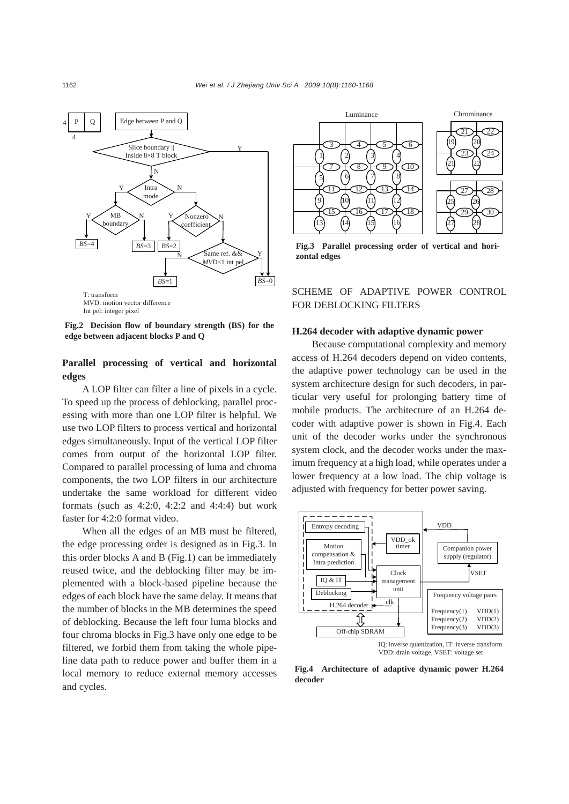

**Fig.2 Decision flow of boundary strength (BS) for the edge between adjacent blocks P and Q**

# **Parallel processing of vertical and horizontal edges**

A LOP filter can filter a line of pixels in a cycle. To speed up the process of deblocking, parallel processing with more than one LOP filter is helpful. We use two LOP filters to process vertical and horizontal edges simultaneously. Input of the vertical LOP filter comes from output of the horizontal LOP filter. Compared to parallel processing of luma and chroma components, the two LOP filters in our architecture undertake the same workload for different video formats (such as  $4:2:0$ ,  $4:2:2$  and  $4:4:4$ ) but work faster for 4:2:0 format video.

When all the edges of an MB must be filtered, the edge processing order is designed as in Fig.3. In this order blocks A and B (Fig.1) can be immediately reused twice, and the deblocking filter may be implemented with a block-based pipeline because the edges of each block have the same delay. It means that the number of blocks in the MB determines the speed of deblocking. Because the left four luma blocks and four chroma blocks in Fig.3 have only one edge to be filtered, we forbid them from taking the whole pipeline data path to reduce power and buffer them in a local memory to reduce external memory accesses and cycles.



**Fig.3 Parallel processing order of vertical and horizontal edges** 

# SCHEME OF ADAPTIVE POWER CONTROL FOR DEBLOCKING FILTERS

# **H.264 decoder with adaptive dynamic power**

Because computational complexity and memory access of H.264 decoders depend on video contents, the adaptive power technology can be used in the system architecture design for such decoders, in particular very useful for prolonging battery time of mobile products. The architecture of an H.264 decoder with adaptive power is shown in Fig.4. Each unit of the decoder works under the synchronous system clock, and the decoder works under the maximum frequency at a high load, while operates under a lower frequency at a low load. The chip voltage is adjusted with frequency for better power saving.



VDD: drain voltage, VSET: voltage set

**Fig.4 Architecture of adaptive dynamic power H.264 decoder**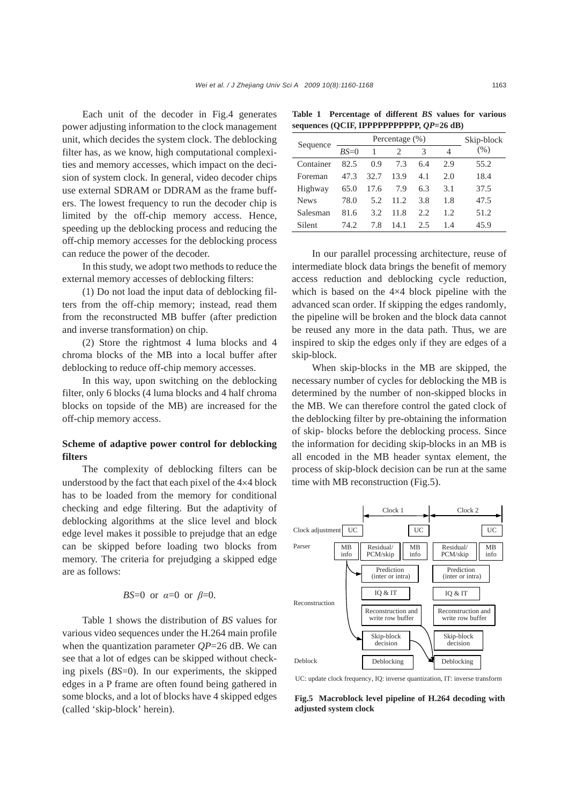Each unit of the decoder in Fig.4 generates power adjusting information to the clock management unit, which decides the system clock. The deblocking filter has, as we know, high computational complexities and memory accesses, which impact on the decision of system clock. In general, video decoder chips use external SDRAM or DDRAM as the frame buffers. The lowest frequency to run the decoder chip is limited by the off-chip memory access. Hence, speeding up the deblocking process and reducing the off-chip memory accesses for the deblocking process can reduce the power of the decoder.

In this study, we adopt two methods to reduce the external memory accesses of deblocking filters:

(1) Do not load the input data of deblocking filters from the off-chip memory; instead, read them from the reconstructed MB buffer (after prediction and inverse transformation) on chip.

(2) Store the rightmost 4 luma blocks and 4 chroma blocks of the MB into a local buffer after deblocking to reduce off-chip memory accesses.

In this way, upon switching on the deblocking filter, only 6 blocks (4 luma blocks and 4 half chroma blocks on topside of the MB) are increased for the off-chip memory access.

# **Scheme of adaptive power control for deblocking filters**

The complexity of deblocking filters can be understood by the fact that each pixel of the 4×4 block has to be loaded from the memory for conditional checking and edge filtering. But the adaptivity of deblocking algorithms at the slice level and block edge level makes it possible to prejudge that an edge can be skipped before loading two blocks from memory. The criteria for prejudging a skipped edge are as follows:

#### *BS*=0 or *α*=0 or *β*=0.

Table 1 shows the distribution of *BS* values for various video sequences under the H.264 main profile when the quantization parameter *QP*=26 dB. We can see that a lot of edges can be skipped without checking pixels (*BS*=0). In our experiments, the skipped edges in a P frame are often found being gathered in some blocks, and a lot of blocks have 4 skipped edges (called 'skip-block' herein).

**Table 1 Percentage of different** *BS* **values for various**  sequences (QCIF, IPPPPPPPPPP,  $QP=26$  dB)

| Sequence    |        | Skip-block |       |      |      |      |
|-------------|--------|------------|-------|------|------|------|
|             | $BS=0$ |            |       | 3    | 4    | (% ) |
| Container   | 82.5   | 0.9        | 7.3   | 6.4  | 2.9  | 55.2 |
| Foreman     | 47.3   | 32.7       | 13.9  | 4.1  | 2.0  | 18.4 |
| Highway     | 65.0   | 17.6       | 7.9   | 6.3  | 3.1  | 37.5 |
| <b>News</b> | 78.0   | 5.2        | 11.2. | 3.8  | 1.8  | 47.5 |
| Salesman    | 81.6   | 3.2        | 11.8  | 2.2. | 1.2. | 51.2 |
| Silent      | 74.2   | 7.8        | 14.1  | 2.5  | 1.4  | 45.9 |

In our parallel processing architecture, reuse of intermediate block data brings the benefit of memory access reduction and deblocking cycle reduction, which is based on the 4×4 block pipeline with the advanced scan order. If skipping the edges randomly, the pipeline will be broken and the block data cannot be reused any more in the data path. Thus, we are inspired to skip the edges only if they are edges of a skip-block.

When skip-blocks in the MB are skipped, the necessary number of cycles for deblocking the MB is determined by the number of non-skipped blocks in the MB. We can therefore control the gated clock of the deblocking filter by pre-obtaining the information of skip- blocks before the deblocking process. Since the information for deciding skip-blocks in an MB is all encoded in the MB header syntax element, the process of skip-block decision can be run at the same time with MB reconstruction (Fig.5).



UC: update clock frequency, IQ: inverse quantization, IT: inverse transform

**Fig.5 Macroblock level pipeline of H.264 decoding with adjusted system clock**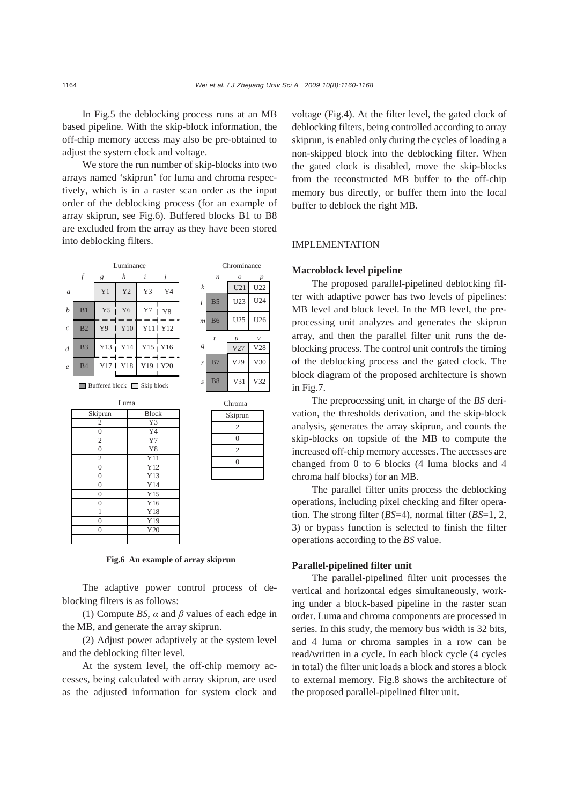In Fig.5 the deblocking process runs at an MB based pipeline. With the skip-block information, the off-chip memory access may also be pre-obtained to adjust the system clock and voltage.

We store the run number of skip-blocks into two arrays named 'skiprun' for luma and chroma respectively, which is in a raster scan order as the input order of the deblocking process (for an example of array skiprun, see Fig.6). Buffered blocks B1 to B8 are excluded from the array as they have been stored into deblocking filters.



**Fig.6 An example of array skiprun** 

The adaptive power control process of deblocking filters is as follows:

(1) Compute *BS*, *α* and *β* values of each edge in the MB, and generate the array skiprun.

(2) Adjust power adaptively at the system level and the deblocking filter level.

At the system level, the off-chip memory accesses, being calculated with array skiprun, are used as the adjusted information for system clock and voltage (Fig.4). At the filter level, the gated clock of deblocking filters, being controlled according to array skiprun, is enabled only during the cycles of loading a non-skipped block into the deblocking filter. When the gated clock is disabled, move the skip-blocks from the reconstructed MB buffer to the off-chip memory bus directly, or buffer them into the local buffer to deblock the right MB.

# IMPLEMENTATION

## **Macroblock level pipeline**

The proposed parallel-pipelined deblocking filter with adaptive power has two levels of pipelines: MB level and block level. In the MB level, the preprocessing unit analyzes and generates the skiprun array, and then the parallel filter unit runs the deblocking process. The control unit controls the timing of the deblocking process and the gated clock. The block diagram of the proposed architecture is shown in Fig.7.

The preprocessing unit, in charge of the *BS* derivation, the thresholds derivation, and the skip-block analysis, generates the array skiprun, and counts the skip-blocks on topside of the MB to compute the increased off-chip memory accesses. The accesses are changed from 0 to 6 blocks (4 luma blocks and 4 chroma half blocks) for an MB.

The parallel filter units process the deblocking operations, including pixel checking and filter operation. The strong filter (*BS*=4), normal filter (*BS*=1, 2, 3) or bypass function is selected to finish the filter operations according to the *BS* value.

# **Parallel-pipelined filter unit**

The parallel-pipelined filter unit processes the vertical and horizontal edges simultaneously, working under a block-based pipeline in the raster scan order. Luma and chroma components are processed in series. In this study, the memory bus width is 32 bits, and 4 luma or chroma samples in a row can be read/written in a cycle. In each block cycle (4 cycles in total) the filter unit loads a block and stores a block to external memory. Fig.8 shows the architecture of the proposed parallel-pipelined filter unit.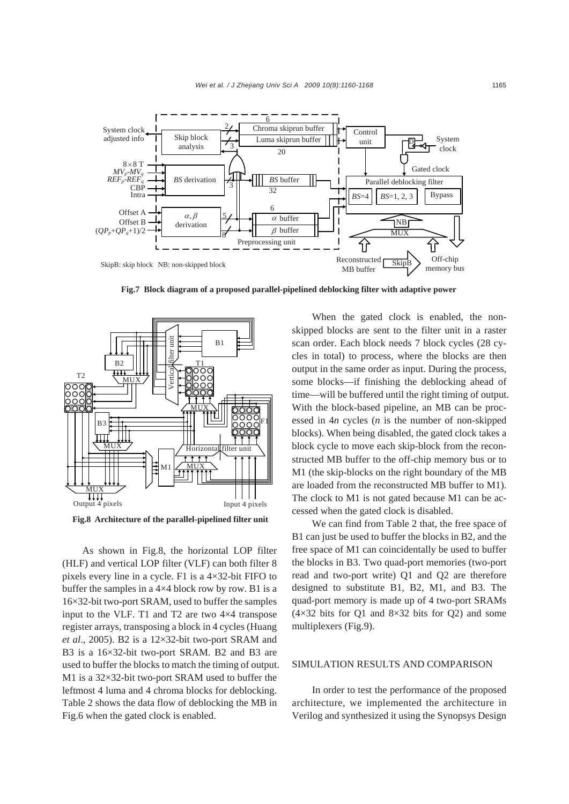

**Fig.7 Block diagram of a proposed parallel-pipelined deblocking filter with adaptive power** 



**Fig.8 Architecture of the parallel-pipelined filter unit** 

As shown in Fig.8, the horizontal LOP filter (HLF) and vertical LOP filter (VLF) can both filter 8 pixels every line in a cycle. F1 is a 4×32-bit FIFO to buffer the samples in a 4×4 block row by row. B1 is a 16×32-bit two-port SRAM, used to buffer the samples input to the VLF. T1 and T2 are two 4×4 transpose register arrays, transposing a block in 4 cycles (Huang *et al*., 2005). B2 is a 12×32-bit two-port SRAM and B3 is a 16×32-bit two-port SRAM. B2 and B3 are used to buffer the blocks to match the timing of output. M1 is a 32×32-bit two-port SRAM used to buffer the leftmost 4 luma and 4 chroma blocks for deblocking. Table 2 shows the data flow of deblocking the MB in Fig.6 when the gated clock is enabled.

When the gated clock is enabled, the nonskipped blocks are sent to the filter unit in a raster scan order. Each block needs 7 block cycles (28 cycles in total) to process, where the blocks are then output in the same order as input. During the process, some blocks—if finishing the deblocking ahead of time—will be buffered until the right timing of output. With the block-based pipeline, an MB can be processed in 4*n* cycles (*n* is the number of non-skipped blocks). When being disabled, the gated clock takes a block cycle to move each skip-block from the reconstructed MB buffer to the off-chip memory bus or to M1 (the skip-blocks on the right boundary of the MB are loaded from the reconstructed MB buffer to M1). The clock to M1 is not gated because M1 can be accessed when the gated clock is disabled.

We can find from Table 2 that, the free space of B1 can just be used to buffer the blocks in B2, and the free space of M1 can coincidentally be used to buffer the blocks in B3. Two quad-port memories (two-port read and two-port write) Q1 and Q2 are therefore designed to substitute B1, B2, M1, and B3. The quad-port memory is made up of 4 two-port SRAMs  $(4\times32$  bits for Q1 and  $8\times32$  bits for Q2) and some multiplexers (Fig.9).

## SIMULATION RESULTS AND COMPARISON

In order to test the performance of the proposed architecture, we implemented the architecture in Verilog and synthesized it using the Synopsys Design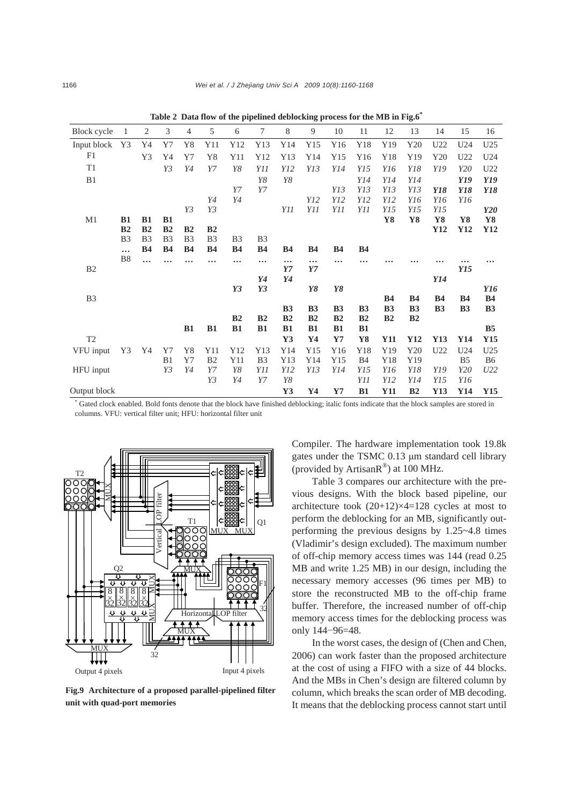| Block cycle    | 1              | $\overline{2}$ | 3              | $\overline{4}$ | 5              | 6              | 7              | 8              | 9              | 10             | 11             | 12             | 13             | 14        | 15             | 16              |
|----------------|----------------|----------------|----------------|----------------|----------------|----------------|----------------|----------------|----------------|----------------|----------------|----------------|----------------|-----------|----------------|-----------------|
| Input block    | Y3             | Y4             | Y7             | Y8             | Y11            | Y12            | Y13            | Y14            | Y15            | Y16            | Y18            | Y19            | Y20            | U22       | U24            | U25             |
| F1             |                | Y3             | Y4             | Y7             | Y8             | Y11            | Y12            | Y13            | Y14            | Y15            | Y16            | Y18            | Y19            | Y20       | U22            | U24             |
| T1             |                |                | Y3             | Y4             | Y7             | Y8             | Y11            | Y12            | Y13            | Y14            | Y15            | Y16            | Y18            | Y19       | Y20            | U <sub>22</sub> |
| B1             |                |                |                |                |                |                | Y8             | Y8             |                |                | Y14            | Y14            | Y14            |           | Y19            | Y19             |
|                |                |                |                |                |                | Y7             | Y7             |                |                | Y13            | Y13            | Y13            | Y13            | Y18       | Y18            | Y18             |
|                |                |                |                |                | Y4             | Y4             |                |                | <i>Y12</i>     | Y12            | Y12            | Y12            | Y16            | Y16       | Y16            |                 |
|                |                |                |                | Y3             | Y3             |                |                | Y11            | Y11            | Y11            | Y11            | Y15            | Y15            | Y15       |                | Y20             |
| M <sub>1</sub> | <b>B1</b>      | B1             | <b>B1</b>      |                |                |                |                |                |                |                |                | Y8             | Y8             | Y8        | Y8             | Y8              |
|                | B <sub>2</sub> | B <sub>2</sub> | B <sub>2</sub> | B <sub>2</sub> | B <sub>2</sub> |                |                |                |                |                |                |                |                | Y12       | Y12            | Y12             |
|                | B <sub>3</sub> | B <sub>3</sub> | B <sub>3</sub> | B <sub>3</sub> | B <sub>3</sub> | B <sub>3</sub> | B <sub>3</sub> |                |                |                |                |                |                |           |                |                 |
|                | $\cdots$       | <b>B4</b>      | <b>B4</b>      | <b>B4</b>      | <b>B4</b>      | <b>B4</b>      | <b>B4</b>      | <b>B4</b>      | <b>B4</b>      | <b>B4</b>      | <b>B4</b>      |                |                |           |                |                 |
| B <sub>2</sub> | B8             |                |                |                |                |                | $\cdots$       | $\cdots$<br>Y7 | $\cdots$<br>Y7 |                |                |                |                |           | Y15            |                 |
|                |                |                |                |                |                |                | Y4             | Y4             |                |                |                |                |                | Y14       |                |                 |
|                |                |                |                |                |                | Y3             | Y3             |                | Y8             | Y8             |                |                |                |           |                | Y16             |
| B <sub>3</sub> |                |                |                |                |                |                |                |                |                |                |                | <b>B4</b>      | <b>B4</b>      | <b>B4</b> | <b>B4</b>      | <b>B4</b>       |
|                |                |                |                |                |                |                |                | B <sub>3</sub> | <b>B3</b>      | B <sub>3</sub> | B <sub>3</sub> | B <sub>3</sub> | B <sub>3</sub> | <b>B3</b> | B <sub>3</sub> | <b>B3</b>       |
|                |                |                |                |                |                | B2             | B <sub>2</sub> | B <sub>2</sub> | B <sub>2</sub> | B <sub>2</sub> | B <sub>2</sub> | B <sub>2</sub> | B <sub>2</sub> |           |                |                 |
|                |                |                |                | B1             | B1             | <b>B1</b>      | B1             | B1             | B1             | <b>B1</b>      | B1             |                |                |           |                | B <sub>5</sub>  |
| T <sub>2</sub> |                |                |                |                |                |                |                | Y3             | Y <sub>4</sub> | Y7             | Y8             | <b>Y11</b>     | Y12            | Y13       | Y14            | Y15             |
| VFU input      | Y3             | Y4             | Y7             | Y8             | Y11            | Y12            | Y13            | Y14            | Y15            | Y16            | Y18            | Y19            | Y20            | U22       | U24            | U <sub>25</sub> |
|                |                |                | B1             | Y7             | B <sub>2</sub> | Y11            | B <sub>3</sub> | Y13            | Y14            | Y15            | <b>B4</b>      | Y18            | Y19            |           | B <sub>5</sub> | B <sub>6</sub>  |
| HFU input      |                |                | Y3             | Y4             | Y7             | Y8             | Y11            | Y12            | Y13            | Y14            | Y15            | Y16            | Y18            | Y19       | Y20            | U22             |
|                |                |                |                |                | Y3             | Y4             | Y7             | Y8             |                |                | Y11            | Y12            | Y14            | Y15       | Y16            |                 |
| Output block   |                |                |                |                |                |                |                | Y3             | Y4             | $\mathbf{Y}$ 7 | B1             | Y11            | B <sub>2</sub> | Y13       | Y14            | Y15             |

**Table 2 Data flow of the pipelined deblocking process for the MB in Fig.6\*** 

\* Gated clock enabled. Bold fonts denote that the block have finished deblocking; italic fonts indicate that the block samples are stored in columns. VFU: vertical filter unit; HFU: horizontal filter unit



**Fig.9 Architecture of a proposed parallel-pipelined filter unit with quad-port memories** 

Compiler. The hardware implementation took 19.8k gates under the TSMC 0.13 μm standard cell library (provided by ArtisanR®) at 100 MHz.

Table 3 compares our architecture with the previous designs. With the block based pipeline, our architecture took (20+12)×4=128 cycles at most to perform the deblocking for an MB, significantly outperforming the previous designs by 1.25~4.8 times (Vladimir's design excluded). The maximum number of off-chip memory access times was 144 (read 0.25 MB and write 1.25 MB) in our design, including the necessary memory accesses (96 times per MB) to store the reconstructed MB to the off-chip frame buffer. Therefore, the increased number of off-chip memory access times for the deblocking process was only 144−96=48.

In the worst cases, the design of (Chen and Chen, 2006) can work faster than the proposed architecture at the cost of using a FIFO with a size of 44 blocks. And the MBs in Chen's design are filtered column by column, which breaks the scan order of MB decoding. It means that the deblocking process cannot start until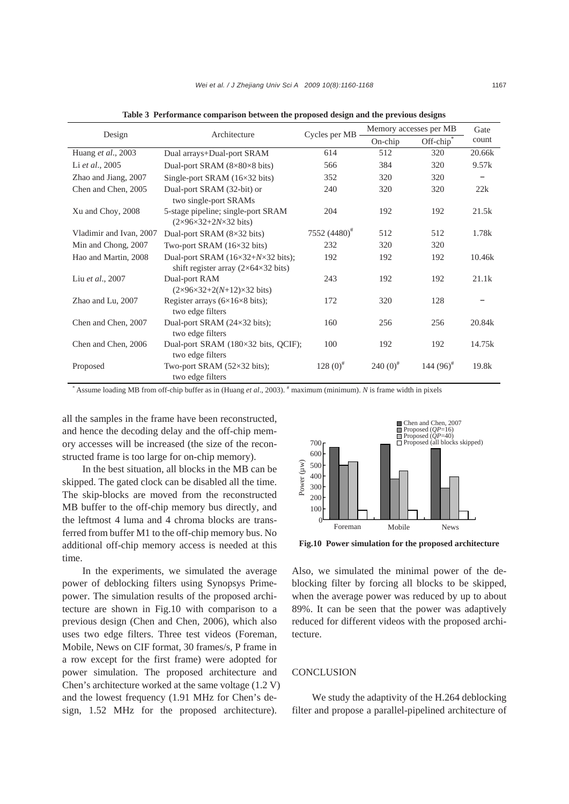|                         | Architecture                                                                                              |                          | Memory accesses per MB | Gate                    |        |  |
|-------------------------|-----------------------------------------------------------------------------------------------------------|--------------------------|------------------------|-------------------------|--------|--|
| Design                  |                                                                                                           | Cycles per MB            | On-chip                | Off-chip <sup>®</sup>   | count  |  |
| Huang et al., 2003      | Dual arrays+Dual-port SRAM                                                                                | 614                      | 512                    | 320                     | 20.66k |  |
| Li et al., 2005         | Dual-port SRAM $(8\times80\times8$ bits)                                                                  | 566                      | 384                    | 320                     | 9.57k  |  |
| Zhao and Jiang, 2007    | Single-port SRAM $(16\times32 \text{ bits})$                                                              | 352                      | 320                    | 320                     |        |  |
| Chen and Chen, 2005     | Dual-port SRAM (32-bit) or<br>two single-port SRAMs                                                       | 240                      | 320                    | 320                     | 22k    |  |
| Xu and Choy, 2008       | 5-stage pipeline; single-port SRAM<br>$(2\times96\times32+2N\times32 \text{ bits})$                       | 204                      | 192                    | 192                     | 21.5k  |  |
| Vladimir and Ivan, 2007 | Dual-port SRAM $(8\times32 \text{ bits})$                                                                 | 7552 (4480) <sup>#</sup> | 512                    | 512                     | 1.78k  |  |
| Min and Chong, 2007     | Two-port SRAM $(16\times32 \text{ bits})$                                                                 | 232                      | 320                    | 320                     |        |  |
| Hao and Martin, 2008    | Dual-port SRAM $(16\times32+N\times32 \text{ bits});$<br>shift register array $(2\times64\times32)$ bits) | 192                      | 192                    | 192                     | 10.46k |  |
| Liu et al., 2007        | Dual-port RAM<br>$(2\times96\times32+2(N+12)\times32 \text{ bits})$                                       | 243                      | 192                    | 192                     | 21.1k  |  |
| Zhao and Lu, 2007       | Register arrays $(6\times16\times8$ bits);<br>two edge filters                                            | 172                      | 320                    | 128                     |        |  |
| Chen and Chen, 2007     | Dual-port SRAM $(24\times32 \text{ bits});$<br>two edge filters                                           | 160                      | 256                    | 256                     | 20.84k |  |
| Chen and Chen, 2006     | Dual-port SRAM (180×32 bits, QCIF);<br>two edge filters                                                   | 100                      | 192                    | 192                     | 14.75k |  |
| Proposed                | Two-port SRAM $(52\times32 \text{ bits});$<br>two edge filters                                            | $128(0)^{*}$             | $240(0)^{*}$           | 144 $(96)$ <sup>#</sup> | 19.8k  |  |

**Table 3 Performance comparison between the proposed design and the previous designs** 

\* Assume loading MB from off-chip buffer as in (Huang *et al*., 2003). # maximum (minimum). *N* is frame width in pixels

all the samples in the frame have been reconstructed, and hence the decoding delay and the off-chip memory accesses will be increased (the size of the reconstructed frame is too large for on-chip memory).

In the best situation, all blocks in the MB can be skipped. The gated clock can be disabled all the time. The skip-blocks are moved from the reconstructed MB buffer to the off-chip memory bus directly, and the leftmost 4 luma and 4 chroma blocks are transferred from buffer M1 to the off-chip memory bus. No additional off-chip memory access is needed at this time.

In the experiments, we simulated the average power of deblocking filters using Synopsys Primepower. The simulation results of the proposed architecture are shown in Fig.10 with comparison to a previous design (Chen and Chen, 2006), which also uses two edge filters. Three test videos (Foreman, Mobile, News on CIF format, 30 frames/s, P frame in a row except for the first frame) were adopted for power simulation. The proposed architecture and Chen's architecture worked at the same voltage (1.2 V) and the lowest frequency (1.91 MHz for Chen's design, 1.52 MHz for the proposed architecture).



**Fig.10 Power simulation for the proposed architecture**

Also, we simulated the minimal power of the deblocking filter by forcing all blocks to be skipped, when the average power was reduced by up to about 89%. It can be seen that the power was adaptively reduced for different videos with the proposed architecture.

# **CONCLUSION**

We study the adaptivity of the H.264 deblocking filter and propose a parallel-pipelined architecture of